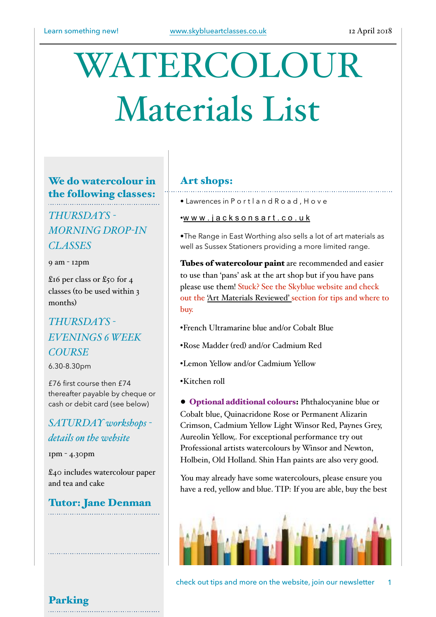# WATERCOLOUR Materials List

#### We do watercolour in the following classes:

### *THURSDAYS - MORNING DROP-IN CLASSES*

9 am - 12pm

£16 per class or £50 for 4 classes (to be used within 3 months)

## *THURSDAYS - EVENINGS 6 WEEK COURSE*

6.30-8.30pm

£76 first course then £74 thereafter payable by cheque or cash or debit card (see below)

#### *SATURDAY workshops details on the website*

1pm - 4.30pm

£40 includes watercolour paper and tea and cake

Tutor: Jane Denman

#### Art shops:

• Lawrences in P o r t l a n d R o a d , H o v e

•[w w w . j a c k s o n s a r t . c o . u k](http://www.jacksonsart.co.uk) 

•The Range in East Worthing also sells a lot of art materials as well as Sussex Stationers providing a more limited range.

Tubes of watercolour paint are recommended and easier to use than 'pans' ask at the art shop but if you have pans please use them! Stuck? See the Skyblue website and check out the ['Art Materials Reviewed' s](http://www.skyblueartclasses.co.uk/#!watercolour-paints/c3rg)ection for tips and where to buy.

- •French Ultramarine blue and/or Cobalt Blue
- •Rose Madder (red) and/or Cadmium Red
- •Lemon Yellow and/or Cadmium Yellow
- •Kitchen roll

● Optional additional colours: Phthalocyanine blue or Cobalt blue, Quinacridone Rose or Permanent Alizarin Crimson, Cadmium Yellow Light Winsor Red, Paynes Grey, Aureolin Yellow,. For exceptional performance try out Professional artists watercolours by Winsor and Newton, Holbein, Old Holland. Shin Han paints are also very good.

You may already have some watercolours, please ensure you have a red, yellow and blue. TIP: If you are able, buy the best



check out tips and more on the website, join our newsletter 1

Parking